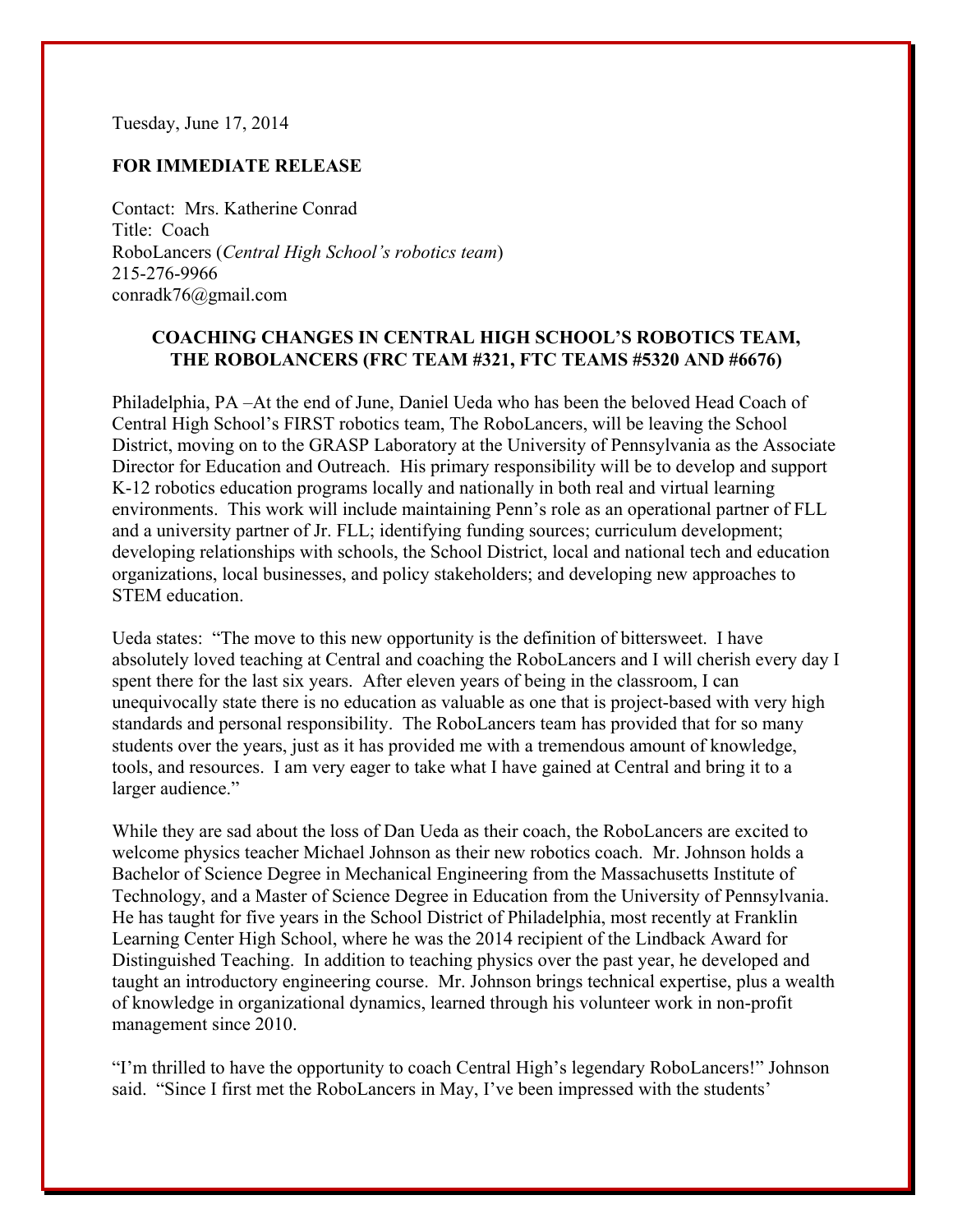Tuesday, June 17, 2014

## **FOR IMMEDIATE RELEASE**

Contact: Mrs. Katherine Conrad Title: Coach RoboLancers (*Central High School's robotics team*) 215-276-9966 conradk76@gmail.com

## **COACHING CHANGES IN CENTRAL HIGH SCHOOL'S ROBOTICS TEAM, THE ROBOLANCERS (FRC TEAM #321, FTC TEAMS #5320 AND #6676)**

Philadelphia, PA –At the end of June, Daniel Ueda who has been the beloved Head Coach of Central High School's FIRST robotics team, The RoboLancers, will be leaving the School District, moving on to the GRASP Laboratory at the University of Pennsylvania as the Associate Director for Education and Outreach. His primary responsibility will be to develop and support K-12 robotics education programs locally and nationally in both real and virtual learning environments. This work will include maintaining Penn's role as an operational partner of FLL and a university partner of Jr. FLL; identifying funding sources; curriculum development; developing relationships with schools, the School District, local and national tech and education organizations, local businesses, and policy stakeholders; and developing new approaches to STEM education.

Ueda states: "The move to this new opportunity is the definition of bittersweet. I have absolutely loved teaching at Central and coaching the RoboLancers and I will cherish every day I spent there for the last six years. After eleven years of being in the classroom, I can unequivocally state there is no education as valuable as one that is project-based with very high standards and personal responsibility. The RoboLancers team has provided that for so many students over the years, just as it has provided me with a tremendous amount of knowledge, tools, and resources. I am very eager to take what I have gained at Central and bring it to a larger audience."

While they are sad about the loss of Dan Ueda as their coach, the RoboLancers are excited to welcome physics teacher Michael Johnson as their new robotics coach. Mr. Johnson holds a Bachelor of Science Degree in Mechanical Engineering from the Massachusetts Institute of Technology, and a Master of Science Degree in Education from the University of Pennsylvania. He has taught for five years in the School District of Philadelphia, most recently at Franklin Learning Center High School, where he was the 2014 recipient of the Lindback Award for Distinguished Teaching. In addition to teaching physics over the past year, he developed and taught an introductory engineering course. Mr. Johnson brings technical expertise, plus a wealth of knowledge in organizational dynamics, learned through his volunteer work in non-profit management since 2010.

"I'm thrilled to have the opportunity to coach Central High's legendary RoboLancers!" Johnson said. "Since I first met the RoboLancers in May, I've been impressed with the students'